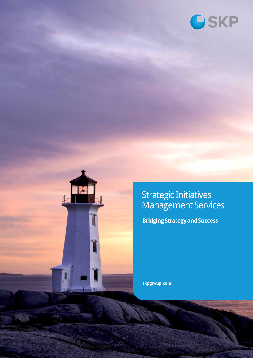



Strategic Initiatives Management Services

**Bridging Strategy and Success** 

**skpgroup.com**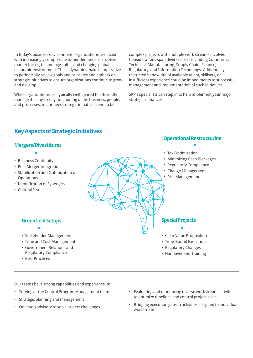In today's business environment, organizations are faced with increasingly complex customer demands, disruptive market forces, technology shifts, and changing global economic environment. These dynamics make it imperative to periodically review goals and priorities and embark on strategic initiatives to ensure organizations continue to grow and develop.

While organizations are typically well-geared to efficiently manage the day-to-day functioning of the business, people, and processes, major new strategic initiatives tend to be

complex projects with multiple work streams involved. Considerations span diverse areas including Commercial, Technical, Manufacturing, Supply Chain, Finance, Regulatory, and Information Technology. Additionally, restricted bandwidth of available talent, skillsets, or insufficient experience could be impediments to successful management and implementation of such initiatives.

SKP's specialists can step in to help implement your major strategic initiatives.

### **Key Aspects of Strategic Initiatives**



Our teams have strong capabilities and experience in:

- Serving as the Central Program Management team
- Strategic planning and management
- One-stop advisory to solve project challenges
- Evaluating and monitoring diverse workstream activities to optimize timelines and control project costs
- Bridging execution gaps in activities assigned to individual workstreams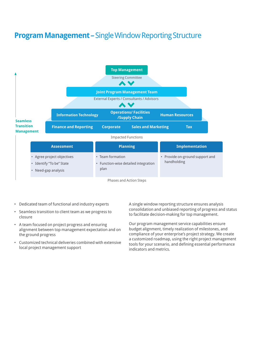# **Program Management –** Single Window Reporting Structure



Phases and Action Steps

- Dedicated team of functional and industry experts
- Seamless transition to client team as we progress to closure
- A team focused on project progress and ensuring alignment between top management expectation and on the ground progress
- Customized technical deliveries combined with extensive local project management support

A single window reporting structure ensures analysis consolidation and unbiased reporting of progress and status to facilitate decision-making for top management.

Our program management service capabilities ensure budget alignment, timely realization of milestones, and compliance of your enterprise's project strategy. We create a customized roadmap, using the right project management tools for your scenario, and defining essential performance indicators and metrics.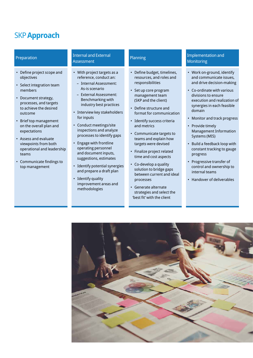### SKP **Approach**

- Define project scope and objectives
- Select integration team members
- Document strategy, processes, and targets to achieve the desired outcome
- Brief top management on the overall plan and expectations
- Assess and evaluate viewpoints from both operational and leadership teams
- Communicate findings to top management

#### Internal and External **Assessment**

- With project targets as a reference, conduct an:
	- Internal Assessment: As-is scenario
- External Assessment: Benchmarking with industry best practices
- Interview key stakeholders for inputs
- Conduct meetings/site inspections and analyze processes to identify gaps
- Engage with frontline operating personnel and document inputs, suggestions, estimates
- Identify potential synergies and prepare a draft plan
- Identify quality improvement areas and methodologies

- Define budget, timelines, resources, and roles and responsibilities
- Set up core program management team (SKP and the client)
- Define structure and format for communication
- Identify success criteria and metrics
- Communicate targets to teams and explain how targets were devised
- Finalize project related time and cost aspects
- Co-develop a quality solution to bridge gaps between current and ideal processes
- Generate alternate strategies and select the 'best fit' with the client

### Preparation **Implementation and Internal and External** Monitoring

- Work on-ground, identify and communicate issues, and drive decision-making
- Co-ordinate with various divisions to ensure execution and realization of synergies in each feasible domain
- Monitor and track progress
- Provide timely Management Information Systems (MIS)
- Build a feedback loop with constant tracking to gauge progress
- Progressive transfer of control and ownership to internal teams
- Handover of deliverables

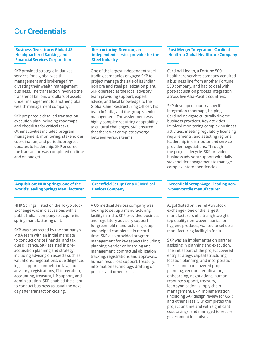### Our **Credentials**

**Business Divestiture: Global US Headquartered Banking and Financial Services Corporation** 

SKP provided strategic initiatives services for a global wealth management and brokerage firm, divesting their wealth management business. The transaction involved the transfer of billions of dollars of assets under management to another global wealth management company.

SKP prepared a detailed transaction execution plan including roadmaps and checklists for critical tasks. Other activities included program management, monitoring, stakeholder coordination, and periodic progress updates to leadership. SKP ensured the transaction was completed on time and on budget.

#### **Restructuring: Stemcor, an independent service provider for the Steel Industry**

One of the largest independent steel trading companies engaged SKP to project manage the sale of its Indian iron ore and steel palletization plant. SKP operated as the local advisory team providing support, expert advice, and local knowledge to the Global Chief Restructuring Officer, his team in India, and the group's senior management. The assignment was highly complex requiring adaptability to cultural challenges. SKP ensured that there was complete synergy between various teams.

#### **Post Merger Integration: Cardinal Health, a Global Healthcare Company**

Cardinal Health, a Fortune 500 healthcare services company acquired a business line from another Fortune 500 company, and had to deal with post-acquisition process integration across five Asia-Pacific countries.

SKP developed country-specific integration roadmaps, helping Cardinal navigate culturally diverse business practices. Key activities involved monitoring complex business activities, meeting regulatory licensing requirements, and assisting regional leadership in distributor and service provider negotiations. Through the project lifecycle, SKP provided business advisory support with daily stakeholder engagement to manage complex interdependencies.

#### **Acquisition: NHK Springs, one of the world's leading Springs Manufacturer**

NHK Springs, listed on the Tokyo Stock Exchange was in discussions with a public Indian company to acquire its spring manufacturing unit.

SKP was contracted by the company's M&A team with an initial mandate to conduct onsite financial and tax due diligence. SKP assisted in preacquisition planning and strategy, including advising on aspects such as valuations, negotiations, due diligence, legal support, competition law, tax advisory, registrations, IT integration, accounting, treasury, HR support, and administration. SKP enabled the client to conduct business as usual the next day after transaction closing.

#### **Greenfield Setup: For a US Medical Devices Company**

A US medical devices company was looking to set up a manufacturing facility in India. SKP provided business and regulatory advisory support for greenfield manufacturing setup and helped complete it in record time. SKP also provided program management for key aspects including planning, vendor onboarding and management, contractual obligation tracking, registrations and approvals, human resources support, treasury, information technology, drafting of policies and other areas.

#### **Greenfield Setup: Avgol, leading nonwoven textile manufacturer**

Avgol (listed on the Tel Aviv stock exchange), one of the largest manufacturers of ultra lightweight, top quality non-woven fabrics for hygiene products, wanted to set up a manufacturing facility in India.

SKP was an implementation partner, assisting in planning and execution. The initial part of the project covered entry strategy, capital structuring, location planning, and incorporation. The second part covered project planning, vendor identification, onboarding, negotiations, human resource support, treasury, loan syndication, supply chain management, ERP implementation (including SAP design review for GST) and other areas. SKP completed the project on time and with significant cost savings, and managed to secure government incentives.